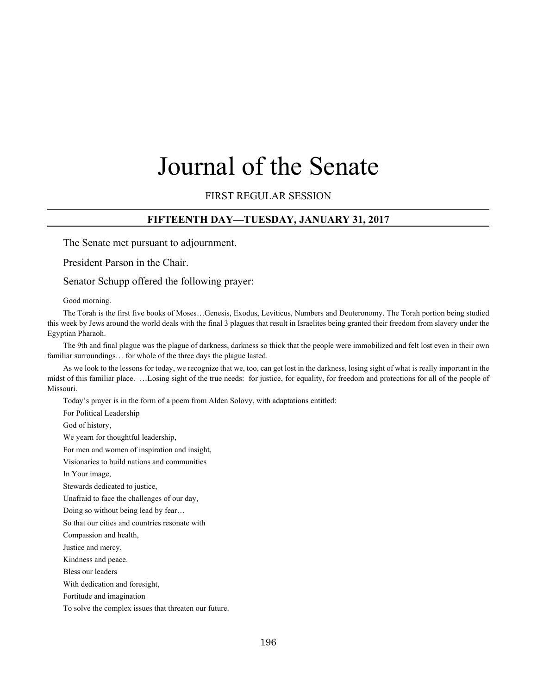# Journal of the Senate

#### FIRST REGULAR SESSION

#### **FIFTEENTH DAY—TUESDAY, JANUARY 31, 2017**

The Senate met pursuant to adjournment.

President Parson in the Chair.

Senator Schupp offered the following prayer:

Good morning.

The Torah is the first five books of Moses…Genesis, Exodus, Leviticus, Numbers and Deuteronomy. The Torah portion being studied this week by Jews around the world deals with the final 3 plagues that result in Israelites being granted their freedom from slavery under the Egyptian Pharaoh.

The 9th and final plague was the plague of darkness, darkness so thick that the people were immobilized and felt lost even in their own familiar surroundings… for whole of the three days the plague lasted.

As we look to the lessons for today, we recognize that we, too, can get lost in the darkness, losing sight of what is really important in the midst of this familiar place. …Losing sight of the true needs: for justice, for equality, for freedom and protections for all of the people of Missouri.

Today's prayer is in the form of a poem from Alden Solovy, with adaptations entitled:

For Political Leadership

God of history,

We yearn for thoughtful leadership,

For men and women of inspiration and insight,

Visionaries to build nations and communities

In Your image,

Stewards dedicated to justice,

Unafraid to face the challenges of our day,

Doing so without being lead by fear…

So that our cities and countries resonate with

Compassion and health,

Justice and mercy,

Kindness and peace.

Bless our leaders

With dedication and foresight,

Fortitude and imagination

To solve the complex issues that threaten our future.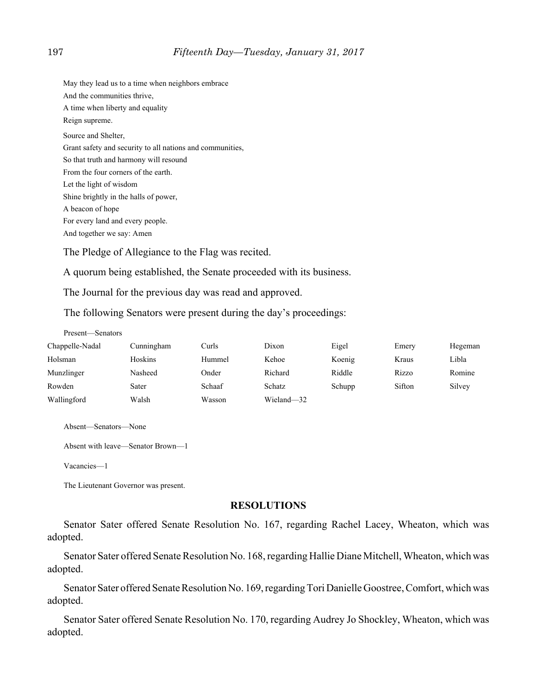May they lead us to a time when neighbors embrace And the communities thrive, A time when liberty and equality Reign supreme. Source and Shelter, Grant safety and security to all nations and communities, So that truth and harmony will resound From the four corners of the earth. Let the light of wisdom Shine brightly in the halls of power, A beacon of hope For every land and every people. And together we say: Amen

The Pledge of Allegiance to the Flag was recited.

A quorum being established, the Senate proceeded with its business.

The Journal for the previous day was read and approved.

The following Senators were present during the day's proceedings:

| Present—Senators |            |        |               |        |        |         |
|------------------|------------|--------|---------------|--------|--------|---------|
| Chappelle-Nadal  | Cunningham | Curls  | Dixon         | Eigel  | Emery  | Hegeman |
| Holsman          | Hoskins    | Hummel | Kehoe         | Koenig | Kraus  | Libla   |
| Munzlinger       | Nasheed    | Onder  | Richard       | Riddle | Rizzo  | Romine  |
| Rowden           | Sater      | Schaaf | <b>Schatz</b> | Schupp | Sifton | Silvey  |
| Wallingford      | Walsh      | Wasson | Wieland-32    |        |        |         |

```
Absent—Senators—None
```
Absent with leave—Senator Brown—1

```
Vacancies—1
```
The Lieutenant Governor was present.

#### **RESOLUTIONS**

Senator Sater offered Senate Resolution No. 167, regarding Rachel Lacey, Wheaton, which was adopted.

Senator Sater offered Senate Resolution No. 168, regarding Hallie Diane Mitchell, Wheaton, which was adopted.

Senator Sater offered Senate Resolution No. 169, regarding Tori Danielle Goostree, Comfort, which was adopted.

Senator Sater offered Senate Resolution No. 170, regarding Audrey Jo Shockley, Wheaton, which was adopted.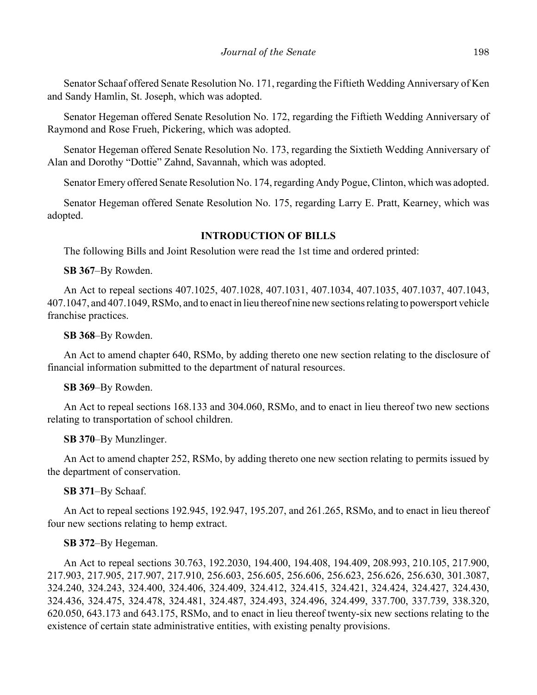Senator Schaaf offered Senate Resolution No. 171, regarding the Fiftieth Wedding Anniversary of Ken and Sandy Hamlin, St. Joseph, which was adopted.

Senator Hegeman offered Senate Resolution No. 172, regarding the Fiftieth Wedding Anniversary of Raymond and Rose Frueh, Pickering, which was adopted.

Senator Hegeman offered Senate Resolution No. 173, regarding the Sixtieth Wedding Anniversary of Alan and Dorothy "Dottie" Zahnd, Savannah, which was adopted.

Senator Emery offered Senate Resolution No. 174, regarding Andy Pogue, Clinton, which was adopted.

Senator Hegeman offered Senate Resolution No. 175, regarding Larry E. Pratt, Kearney, which was adopted.

# **INTRODUCTION OF BILLS**

The following Bills and Joint Resolution were read the 1st time and ordered printed:

**SB 367**–By Rowden.

An Act to repeal sections 407.1025, 407.1028, 407.1031, 407.1034, 407.1035, 407.1037, 407.1043, 407.1047, and 407.1049, RSMo, and to enact in lieu thereof nine new sections relating to powersport vehicle franchise practices.

**SB 368**–By Rowden.

An Act to amend chapter 640, RSMo, by adding thereto one new section relating to the disclosure of financial information submitted to the department of natural resources.

#### **SB 369**–By Rowden.

An Act to repeal sections 168.133 and 304.060, RSMo, and to enact in lieu thereof two new sections relating to transportation of school children.

**SB 370**–By Munzlinger.

An Act to amend chapter 252, RSMo, by adding thereto one new section relating to permits issued by the department of conservation.

**SB 371**–By Schaaf.

An Act to repeal sections 192.945, 192.947, 195.207, and 261.265, RSMo, and to enact in lieu thereof four new sections relating to hemp extract.

# **SB 372**–By Hegeman.

An Act to repeal sections 30.763, 192.2030, 194.400, 194.408, 194.409, 208.993, 210.105, 217.900, 217.903, 217.905, 217.907, 217.910, 256.603, 256.605, 256.606, 256.623, 256.626, 256.630, 301.3087, 324.240, 324.243, 324.400, 324.406, 324.409, 324.412, 324.415, 324.421, 324.424, 324.427, 324.430, 324.436, 324.475, 324.478, 324.481, 324.487, 324.493, 324.496, 324.499, 337.700, 337.739, 338.320, 620.050, 643.173 and 643.175, RSMo, and to enact in lieu thereof twenty-six new sections relating to the existence of certain state administrative entities, with existing penalty provisions.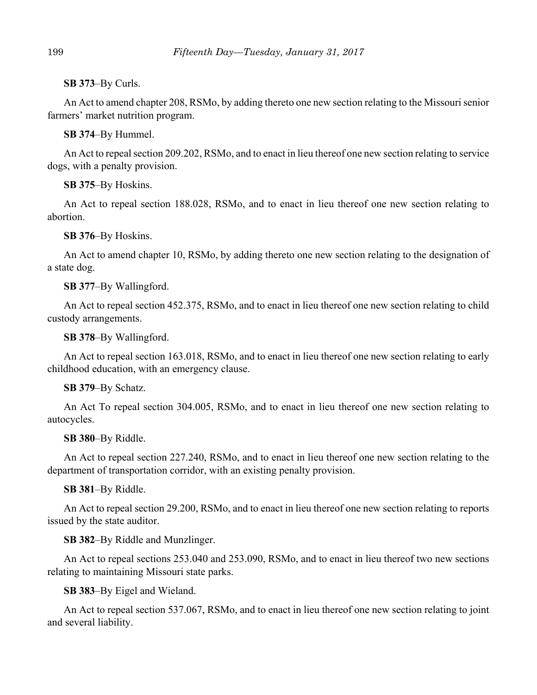**SB 373**–By Curls.

An Act to amend chapter 208, RSMo, by adding thereto one new section relating to the Missouri senior farmers' market nutrition program.

**SB 374**–By Hummel.

An Act to repeal section 209.202, RSMo, and to enact in lieu thereof one new section relating to service dogs, with a penalty provision.

**SB 375**–By Hoskins.

An Act to repeal section 188.028, RSMo, and to enact in lieu thereof one new section relating to abortion.

**SB 376**–By Hoskins.

An Act to amend chapter 10, RSMo, by adding thereto one new section relating to the designation of a state dog.

**SB 377**–By Wallingford.

An Act to repeal section 452.375, RSMo, and to enact in lieu thereof one new section relating to child custody arrangements.

**SB 378**–By Wallingford.

An Act to repeal section 163.018, RSMo, and to enact in lieu thereof one new section relating to early childhood education, with an emergency clause.

**SB 379**–By Schatz.

An Act To repeal section 304.005, RSMo, and to enact in lieu thereof one new section relating to autocycles.

**SB 380**–By Riddle.

An Act to repeal section 227.240, RSMo, and to enact in lieu thereof one new section relating to the department of transportation corridor, with an existing penalty provision.

**SB 381**–By Riddle.

An Act to repeal section 29.200, RSMo, and to enact in lieu thereof one new section relating to reports issued by the state auditor.

**SB 382**–By Riddle and Munzlinger.

An Act to repeal sections 253.040 and 253.090, RSMo, and to enact in lieu thereof two new sections relating to maintaining Missouri state parks.

**SB 383**–By Eigel and Wieland.

An Act to repeal section 537.067, RSMo, and to enact in lieu thereof one new section relating to joint and several liability.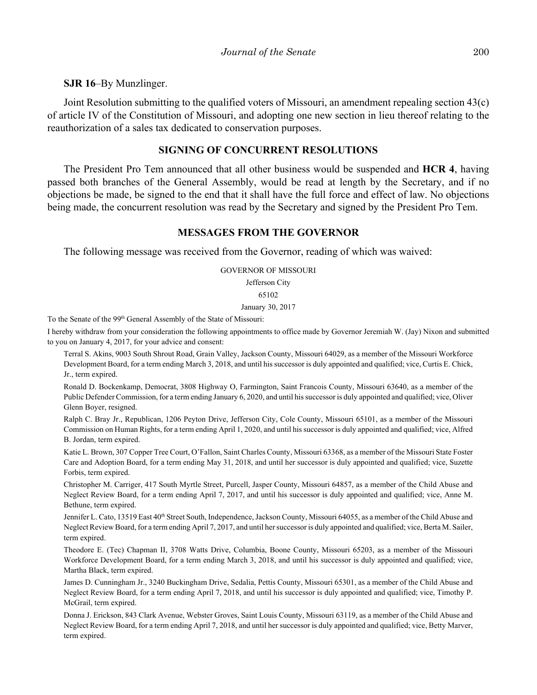**SJR 16**–By Munzlinger.

Joint Resolution submitting to the qualified voters of Missouri, an amendment repealing section 43(c) of article IV of the Constitution of Missouri, and adopting one new section in lieu thereof relating to the reauthorization of a sales tax dedicated to conservation purposes.

#### **SIGNING OF CONCURRENT RESOLUTIONS**

The President Pro Tem announced that all other business would be suspended and **HCR 4**, having passed both branches of the General Assembly, would be read at length by the Secretary, and if no objections be made, be signed to the end that it shall have the full force and effect of law. No objections being made, the concurrent resolution was read by the Secretary and signed by the President Pro Tem.

#### **MESSAGES FROM THE GOVERNOR**

The following message was received from the Governor, reading of which was waived:

#### GOVERNOR OF MISSOURI

Jefferson City

#### 65102

January 30, 2017

To the Senate of the 99<sup>th</sup> General Assembly of the State of Missouri:

I hereby withdraw from your consideration the following appointments to office made by Governor Jeremiah W. (Jay) Nixon and submitted to you on January 4, 2017, for your advice and consent:

Terral S. Akins, 9003 South Shrout Road, Grain Valley, Jackson County, Missouri 64029, as a member of the Missouri Workforce Development Board, for a term ending March 3, 2018, and until his successor is duly appointed and qualified; vice, Curtis E. Chick, Jr., term expired.

Ronald D. Bockenkamp, Democrat, 3808 Highway O, Farmington, Saint Francois County, Missouri 63640, as a member of the Public Defender Commission, for a term ending January 6, 2020, and until his successor is duly appointed and qualified; vice, Oliver Glenn Boyer, resigned.

Ralph C. Bray Jr., Republican, 1206 Peyton Drive, Jefferson City, Cole County, Missouri 65101, as a member of the Missouri Commission on Human Rights, for a term ending April 1, 2020, and until his successor is duly appointed and qualified; vice, Alfred B. Jordan, term expired.

Katie L. Brown, 307 Copper Tree Court, O'Fallon, Saint Charles County, Missouri 63368, as a member of the Missouri State Foster Care and Adoption Board, for a term ending May 31, 2018, and until her successor is duly appointed and qualified; vice, Suzette Forbis, term expired.

Christopher M. Carriger, 417 South Myrtle Street, Purcell, Jasper County, Missouri 64857, as a member of the Child Abuse and Neglect Review Board, for a term ending April 7, 2017, and until his successor is duly appointed and qualified; vice, Anne M. Bethune, term expired.

Jennifer L. Cato, 13519 East 40<sup>th</sup> Street South, Independence, Jackson County, Missouri 64055, as a member of the Child Abuse and Neglect Review Board, for a term ending April 7, 2017, and until her successor is duly appointed and qualified; vice, Berta M. Sailer, term expired.

Theodore E. (Tec) Chapman II, 3708 Watts Drive, Columbia, Boone County, Missouri 65203, as a member of the Missouri Workforce Development Board, for a term ending March 3, 2018, and until his successor is duly appointed and qualified; vice, Martha Black, term expired.

James D. Cunningham Jr., 3240 Buckingham Drive, Sedalia, Pettis County, Missouri 65301, as a member of the Child Abuse and Neglect Review Board, for a term ending April 7, 2018, and until his successor is duly appointed and qualified; vice, Timothy P. McGrail, term expired.

Donna J. Erickson, 843 Clark Avenue, Webster Groves, Saint Louis County, Missouri 63119, as a member of the Child Abuse and Neglect Review Board, for a term ending April 7, 2018, and until her successor is duly appointed and qualified; vice, Betty Marver, term expired.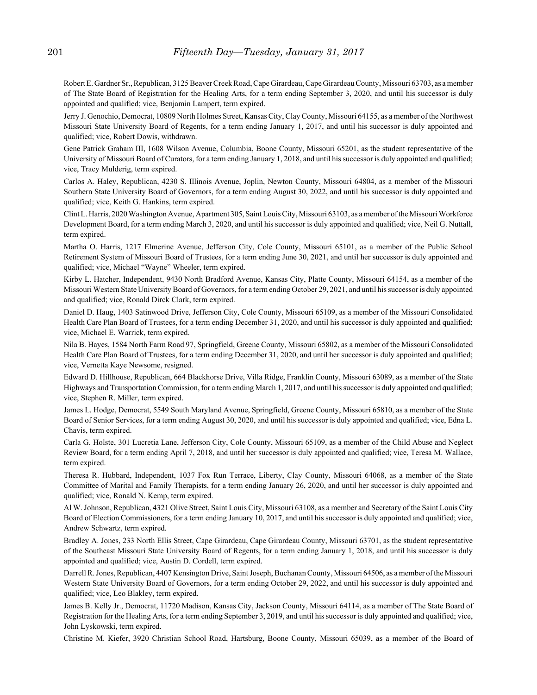Robert E. Gardner Sr., Republican, 3125 Beaver Creek Road, Cape Girardeau, Cape Girardeau County, Missouri 63703, as a member of The State Board of Registration for the Healing Arts, for a term ending September 3, 2020, and until his successor is duly appointed and qualified; vice, Benjamin Lampert, term expired.

Jerry J. Genochio, Democrat, 10809 North Holmes Street, Kansas City, Clay County, Missouri 64155, as a member of the Northwest Missouri State University Board of Regents, for a term ending January 1, 2017, and until his successor is duly appointed and qualified; vice, Robert Dowis, withdrawn.

Gene Patrick Graham III, 1608 Wilson Avenue, Columbia, Boone County, Missouri 65201, as the student representative of the University of Missouri Board of Curators, for a term ending January 1, 2018, and until his successor is duly appointed and qualified; vice, Tracy Mulderig, term expired.

Carlos A. Haley, Republican, 4230 S. Illinois Avenue, Joplin, Newton County, Missouri 64804, as a member of the Missouri Southern State University Board of Governors, for a term ending August 30, 2022, and until his successor is duly appointed and qualified; vice, Keith G. Hankins, term expired.

Clint L. Harris, 2020 Washington Avenue, Apartment 305, Saint Louis City, Missouri 63103, as a member of the Missouri Workforce Development Board, for a term ending March 3, 2020, and until his successor is duly appointed and qualified; vice, Neil G. Nuttall, term expired.

Martha O. Harris, 1217 Elmerine Avenue, Jefferson City, Cole County, Missouri 65101, as a member of the Public School Retirement System of Missouri Board of Trustees, for a term ending June 30, 2021, and until her successor is duly appointed and qualified; vice, Michael "Wayne" Wheeler, term expired.

Kirby L. Hatcher, Independent, 9430 North Bradford Avenue, Kansas City, Platte County, Missouri 64154, as a member of the Missouri Western State University Board of Governors, for a term ending October 29, 2021, and until his successor is duly appointed and qualified; vice, Ronald Dirck Clark, term expired.

Daniel D. Haug, 1403 Satinwood Drive, Jefferson City, Cole County, Missouri 65109, as a member of the Missouri Consolidated Health Care Plan Board of Trustees, for a term ending December 31, 2020, and until his successor is duly appointed and qualified; vice, Michael E. Warrick, term expired.

Nila B. Hayes, 1584 North Farm Road 97, Springfield, Greene County, Missouri 65802, as a member of the Missouri Consolidated Health Care Plan Board of Trustees, for a term ending December 31, 2020, and until her successor is duly appointed and qualified; vice, Vernetta Kaye Newsome, resigned.

Edward D. Hillhouse, Republican, 664 Blackhorse Drive, Villa Ridge, Franklin County, Missouri 63089, as a member of the State Highways and Transportation Commission, for a term ending March 1, 2017, and until his successor is duly appointed and qualified; vice, Stephen R. Miller, term expired.

James L. Hodge, Democrat, 5549 South Maryland Avenue, Springfield, Greene County, Missouri 65810, as a member of the State Board of Senior Services, for a term ending August 30, 2020, and until his successor is duly appointed and qualified; vice, Edna L. Chavis, term expired.

Carla G. Holste, 301 Lucretia Lane, Jefferson City, Cole County, Missouri 65109, as a member of the Child Abuse and Neglect Review Board, for a term ending April 7, 2018, and until her successor is duly appointed and qualified; vice, Teresa M. Wallace, term expired.

Theresa R. Hubbard, Independent, 1037 Fox Run Terrace, Liberty, Clay County, Missouri 64068, as a member of the State Committee of Marital and Family Therapists, for a term ending January 26, 2020, and until her successor is duly appointed and qualified; vice, Ronald N. Kemp, term expired.

Al W. Johnson, Republican, 4321 Olive Street, Saint Louis City, Missouri 63108, as a member and Secretary of the Saint Louis City Board of Election Commissioners, for a term ending January 10, 2017, and until his successor is duly appointed and qualified; vice, Andrew Schwartz, term expired.

Bradley A. Jones, 233 North Ellis Street, Cape Girardeau, Cape Girardeau County, Missouri 63701, as the student representative of the Southeast Missouri State University Board of Regents, for a term ending January 1, 2018, and until his successor is duly appointed and qualified; vice, Austin D. Cordell, term expired.

Darrell R. Jones, Republican, 4407 Kensington Drive, Saint Joseph, Buchanan County, Missouri 64506, as a member of the Missouri Western State University Board of Governors, for a term ending October 29, 2022, and until his successor is duly appointed and qualified; vice, Leo Blakley, term expired.

James B. Kelly Jr., Democrat, 11720 Madison, Kansas City, Jackson County, Missouri 64114, as a member of The State Board of Registration for the Healing Arts, for a term ending September 3, 2019, and until his successor is duly appointed and qualified; vice, John Lyskowski, term expired.

Christine M. Kiefer, 3920 Christian School Road, Hartsburg, Boone County, Missouri 65039, as a member of the Board of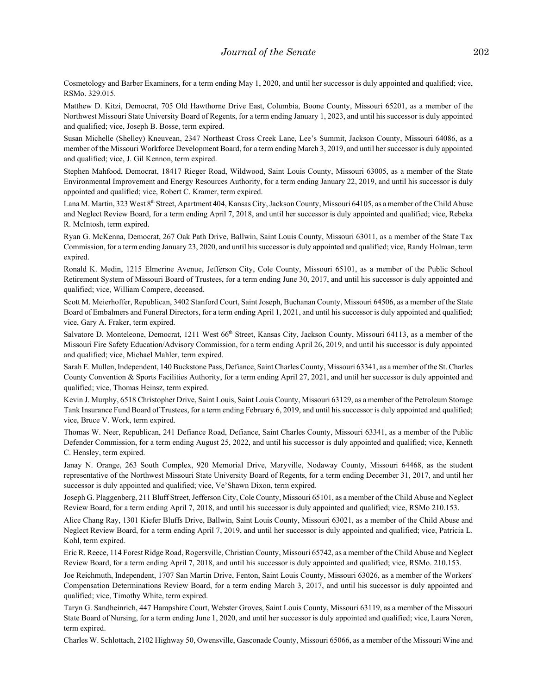Cosmetology and Barber Examiners, for a term ending May 1, 2020, and until her successor is duly appointed and qualified; vice, RSMo. 329.015.

Matthew D. Kitzi, Democrat, 705 Old Hawthorne Drive East, Columbia, Boone County, Missouri 65201, as a member of the Northwest Missouri State University Board of Regents, for a term ending January 1, 2023, and until his successor is duly appointed and qualified; vice, Joseph B. Bosse, term expired.

Susan Michelle (Shelley) Kneuvean, 2347 Northeast Cross Creek Lane, Lee's Summit, Jackson County, Missouri 64086, as a member of the Missouri Workforce Development Board, for a term ending March 3, 2019, and until her successor is duly appointed and qualified; vice, J. Gil Kennon, term expired.

Stephen Mahfood, Democrat, 18417 Rieger Road, Wildwood, Saint Louis County, Missouri 63005, as a member of the State Environmental Improvement and Energy Resources Authority, for a term ending January 22, 2019, and until his successor is duly appointed and qualified; vice, Robert C. Kramer, term expired.

Lana M. Martin, 323 West 8<sup>th</sup> Street, Apartment 404, Kansas City, Jackson County, Missouri 64105, as a member of the Child Abuse and Neglect Review Board, for a term ending April 7, 2018, and until her successor is duly appointed and qualified; vice, Rebeka R. McIntosh, term expired.

Ryan G. McKenna, Democrat, 267 Oak Path Drive, Ballwin, Saint Louis County, Missouri 63011, as a member of the State Tax Commission, for a term ending January 23, 2020, and until his successor is duly appointed and qualified; vice, Randy Holman, term expired.

Ronald K. Medin, 1215 Elmerine Avenue, Jefferson City, Cole County, Missouri 65101, as a member of the Public School Retirement System of Missouri Board of Trustees, for a term ending June 30, 2017, and until his successor is duly appointed and qualified; vice, William Compere, deceased.

Scott M. Meierhoffer, Republican, 3402 Stanford Court, Saint Joseph, Buchanan County, Missouri 64506, as a member of the State Board of Embalmers and Funeral Directors, for a term ending April 1, 2021, and until his successor is duly appointed and qualified; vice, Gary A. Fraker, term expired.

Salvatore D. Monteleone, Democrat, 1211 West 66<sup>th</sup> Street, Kansas City, Jackson County, Missouri 64113, as a member of the Missouri Fire Safety Education/Advisory Commission, for a term ending April 26, 2019, and until his successor is duly appointed and qualified; vice, Michael Mahler, term expired.

Sarah E. Mullen, Independent, 140 Buckstone Pass, Defiance, Saint Charles County, Missouri 63341, as a member of the St. Charles County Convention & Sports Facilities Authority, for a term ending April 27, 2021, and until her successor is duly appointed and qualified; vice, Thomas Heinsz, term expired.

Kevin J. Murphy, 6518 Christopher Drive, Saint Louis, Saint Louis County, Missouri 63129, as a member of the Petroleum Storage Tank Insurance Fund Board of Trustees, for a term ending February 6, 2019, and until his successor is duly appointed and qualified; vice, Bruce V. Work, term expired.

Thomas W. Neer, Republican, 241 Defiance Road, Defiance, Saint Charles County, Missouri 63341, as a member of the Public Defender Commission, for a term ending August 25, 2022, and until his successor is duly appointed and qualified; vice, Kenneth C. Hensley, term expired.

Janay N. Orange, 263 South Complex, 920 Memorial Drive, Maryville, Nodaway County, Missouri 64468, as the student representative of the Northwest Missouri State University Board of Regents, for a term ending December 31, 2017, and until her successor is duly appointed and qualified; vice, Ve'Shawn Dixon, term expired.

Joseph G. Plaggenberg, 211 Bluff Street, Jefferson City, Cole County, Missouri 65101, as a member of the Child Abuse and Neglect Review Board, for a term ending April 7, 2018, and until his successor is duly appointed and qualified; vice, RSMo 210.153.

Alice Chang Ray, 1301 Kiefer Bluffs Drive, Ballwin, Saint Louis County, Missouri 63021, as a member of the Child Abuse and Neglect Review Board, for a term ending April 7, 2019, and until her successor is duly appointed and qualified; vice, Patricia L. Kohl, term expired.

Eric R. Reece, 114 Forest Ridge Road, Rogersville, Christian County, Missouri 65742, as a member of the Child Abuse and Neglect Review Board, for a term ending April 7, 2018, and until his successor is duly appointed and qualified; vice, RSMo. 210.153.

Joe Reichmuth, Independent, 1707 San Martin Drive, Fenton, Saint Louis County, Missouri 63026, as a member of the Workers' Compensation Determinations Review Board, for a term ending March 3, 2017, and until his successor is duly appointed and qualified; vice, Timothy White, term expired.

Taryn G. Sandheinrich, 447 Hampshire Court, Webster Groves, Saint Louis County, Missouri 63119, as a member of the Missouri State Board of Nursing, for a term ending June 1, 2020, and until her successor is duly appointed and qualified; vice, Laura Noren, term expired.

Charles W. Schlottach, 2102 Highway 50, Owensville, Gasconade County, Missouri 65066, as a member of the Missouri Wine and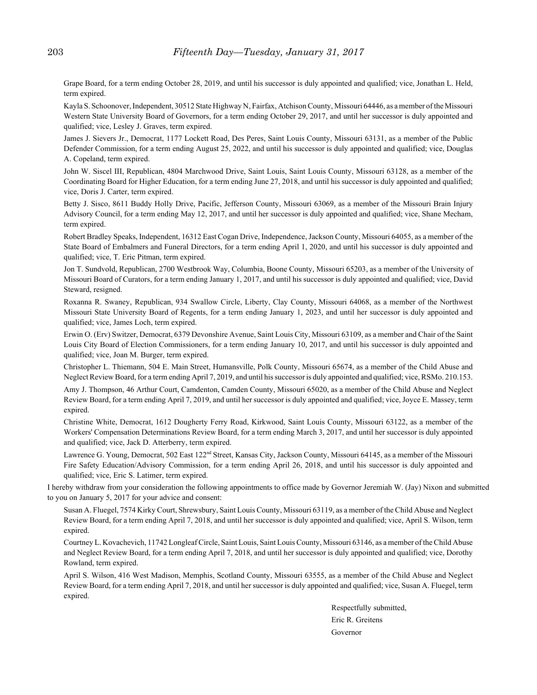Grape Board, for a term ending October 28, 2019, and until his successor is duly appointed and qualified; vice, Jonathan L. Held, term expired.

Kayla S. Schoonover, Independent, 30512 State Highway N, Fairfax, Atchison County, Missouri 64446, as a member of the Missouri Western State University Board of Governors, for a term ending October 29, 2017, and until her successor is duly appointed and qualified; vice, Lesley J. Graves, term expired.

James J. Sievers Jr., Democrat, 1177 Lockett Road, Des Peres, Saint Louis County, Missouri 63131, as a member of the Public Defender Commission, for a term ending August 25, 2022, and until his successor is duly appointed and qualified; vice, Douglas A. Copeland, term expired.

John W. Siscel III, Republican, 4804 Marchwood Drive, Saint Louis, Saint Louis County, Missouri 63128, as a member of the Coordinating Board for Higher Education, for a term ending June 27, 2018, and until his successor is duly appointed and qualified; vice, Doris J. Carter, term expired.

Betty J. Sisco, 8611 Buddy Holly Drive, Pacific, Jefferson County, Missouri 63069, as a member of the Missouri Brain Injury Advisory Council, for a term ending May 12, 2017, and until her successor is duly appointed and qualified; vice, Shane Mecham, term expired.

Robert Bradley Speaks, Independent, 16312 East Cogan Drive, Independence, Jackson County, Missouri 64055, as a member of the State Board of Embalmers and Funeral Directors, for a term ending April 1, 2020, and until his successor is duly appointed and qualified; vice, T. Eric Pitman, term expired.

Jon T. Sundvold, Republican, 2700 Westbrook Way, Columbia, Boone County, Missouri 65203, as a member of the University of Missouri Board of Curators, for a term ending January 1, 2017, and until his successor is duly appointed and qualified; vice, David Steward, resigned.

Roxanna R. Swaney, Republican, 934 Swallow Circle, Liberty, Clay County, Missouri 64068, as a member of the Northwest Missouri State University Board of Regents, for a term ending January 1, 2023, and until her successor is duly appointed and qualified; vice, James Loch, term expired.

Erwin O. (Erv) Switzer, Democrat, 6379 Devonshire Avenue, Saint Louis City, Missouri 63109, as a member and Chair of the Saint Louis City Board of Election Commissioners, for a term ending January 10, 2017, and until his successor is duly appointed and qualified; vice, Joan M. Burger, term expired.

Christopher L. Thiemann, 504 E. Main Street, Humansville, Polk County, Missouri 65674, as a member of the Child Abuse and Neglect Review Board, for a term ending April 7, 2019, and until his successor is duly appointed and qualified; vice, RSMo. 210.153.

Amy J. Thompson, 46 Arthur Court, Camdenton, Camden County, Missouri 65020, as a member of the Child Abuse and Neglect Review Board, for a term ending April 7, 2019, and until her successor is duly appointed and qualified; vice, Joyce E. Massey, term expired.

Christine White, Democrat, 1612 Dougherty Ferry Road, Kirkwood, Saint Louis County, Missouri 63122, as a member of the Workers' Compensation Determinations Review Board, for a term ending March 3, 2017, and until her successor is duly appointed and qualified; vice, Jack D. Atterberry, term expired.

Lawrence G. Young, Democrat, 502 East 122<sup>nd</sup> Street, Kansas City, Jackson County, Missouri 64145, as a member of the Missouri Fire Safety Education/Advisory Commission, for a term ending April 26, 2018, and until his successor is duly appointed and qualified; vice, Eric S. Latimer, term expired.

I hereby withdraw from your consideration the following appointments to office made by Governor Jeremiah W. (Jay) Nixon and submitted to you on January 5, 2017 for your advice and consent:

Susan A. Fluegel, 7574 Kirky Court, Shrewsbury, Saint Louis County, Missouri 63119, as a member of the Child Abuse and Neglect Review Board, for a term ending April 7, 2018, and until her successor is duly appointed and qualified; vice, April S. Wilson, term expired.

Courtney L. Kovachevich, 11742 Longleaf Circle, Saint Louis, Saint Louis County, Missouri 63146, as a member of the Child Abuse and Neglect Review Board, for a term ending April 7, 2018, and until her successor is duly appointed and qualified; vice, Dorothy Rowland, term expired.

April S. Wilson, 416 West Madison, Memphis, Scotland County, Missouri 63555, as a member of the Child Abuse and Neglect Review Board, for a term ending April 7, 2018, and until her successor is duly appointed and qualified; vice, Susan A. Fluegel, term expired.

> Respectfully submitted, Eric R. Greitens Governor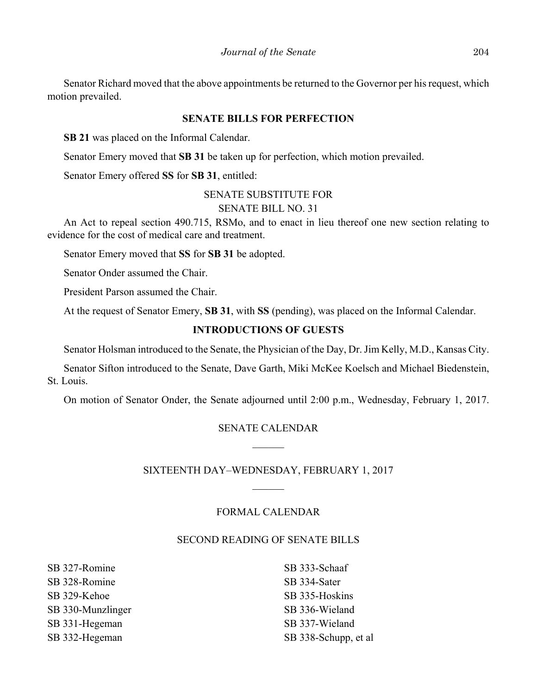Senator Richard moved that the above appointments be returned to the Governor per his request, which motion prevailed.

#### **SENATE BILLS FOR PERFECTION**

**SB 21** was placed on the Informal Calendar.

Senator Emery moved that **SB 31** be taken up for perfection, which motion prevailed.

Senator Emery offered **SS** for **SB 31**, entitled:

# SENATE SUBSTITUTE FOR SENATE BILL NO. 31

An Act to repeal section 490.715, RSMo, and to enact in lieu thereof one new section relating to evidence for the cost of medical care and treatment.

Senator Emery moved that **SS** for **SB 31** be adopted.

Senator Onder assumed the Chair.

President Parson assumed the Chair.

At the request of Senator Emery, **SB 31**, with **SS** (pending), was placed on the Informal Calendar.

# **INTRODUCTIONS OF GUESTS**

Senator Holsman introduced to the Senate, the Physician of the Day, Dr. Jim Kelly, M.D., Kansas City.

Senator Sifton introduced to the Senate, Dave Garth, Miki McKee Koelsch and Michael Biedenstein, St. Louis.

On motion of Senator Onder, the Senate adjourned until 2:00 p.m., Wednesday, February 1, 2017.

# SENATE CALENDAR

# SIXTEENTH DAY–WEDNESDAY, FEBRUARY 1, 2017

# FORMAL CALENDAR

# SECOND READING OF SENATE BILLS

SB 327-Romine SB 328-Romine SB 329-Kehoe SB 330-Munzlinger SB 331-Hegeman SB 332-Hegeman

SB 333-Schaaf SB 334-Sater SB 335-Hoskins SB 336-Wieland SB 337-Wieland SB 338-Schupp, et al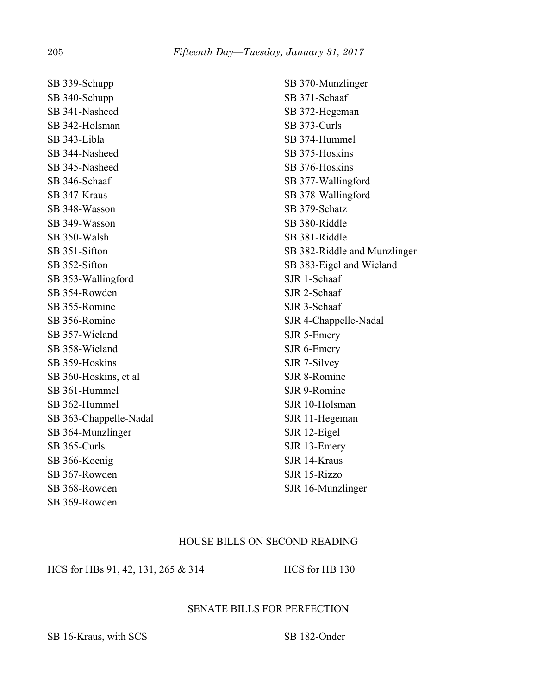SB 339-Schupp SB 340-Schupp SB 341-Nasheed SB 342-Holsman SB 343-Libla SB 344-Nasheed SB 345-Nasheed SB 346-Schaaf SB 347-Kraus SB 348-Wasson SB 349-Wasson SB 350-Walsh SB 351-Sifton SB 352-Sifton SB 353-Wallingford SB 354-Rowden SB 355-Romine SB 356-Romine SB 357-Wieland SB 358-Wieland SB 359-Hoskins SB 360-Hoskins, et al SB 361-Hummel SB 362-Hummel SB 363-Chappelle-Nadal SB 364-Munzlinger SB 365-Curls SB 366-Koenig SB 367-Rowden SB 368-Rowden SB 369-Rowden

SB 370-Munzlinger SB 371-Schaaf SB 372-Hegeman SB 373-Curls SB 374-Hummel SB 375-Hoskins SB 376-Hoskins SB 377-Wallingford SB 378-Wallingford SB 379-Schatz SB 380-Riddle SB 381-Riddle SB 382-Riddle and Munzlinger SB 383-Eigel and Wieland SJR 1-Schaaf SJR 2-Schaaf SJR 3-Schaaf SJR 4-Chappelle-Nadal SJR 5-Emery SJR 6-Emery SJR 7-Silvey SJR 8-Romine SJR 9-Romine SJR 10-Holsman SJR 11-Hegeman SJR 12-Eigel SJR 13-Emery SJR 14-Kraus SJR 15-Rizzo SJR 16-Munzlinger

# HOUSE BILLS ON SECOND READING

HCS for HBs 91, 42, 131, 265 & 314 HCS for HB 130

# SENATE BILLS FOR PERFECTION

SB 16-Kraus, with SCS SB 182-Onder